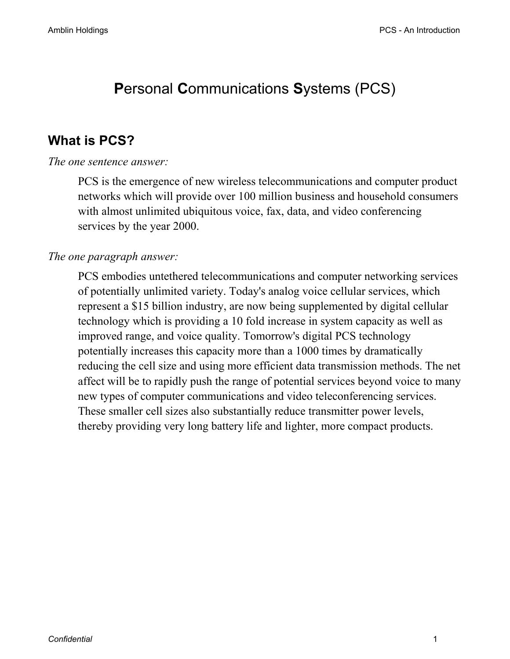# **P**ersonal **C**ommunications **S**ystems (PCS)

## **What is PCS?**

## *The one sentence answer:*

PCS is the emergence of new wireless telecommunications and computer product networks which will provide over 100 million business and household consumers with almost unlimited ubiquitous voice, fax, data, and video conferencing services by the year 2000.

## *The one paragraph answer:*

PCS embodies untethered telecommunications and computer networking services of potentially unlimited variety. Today's analog voice cellular services, which represent a \$15 billion industry, are now being supplemented by digital cellular technology which is providing a 10 fold increase in system capacity as well as improved range, and voice quality. Tomorrow's digital PCS technology potentially increases this capacity more than a 1000 times by dramatically reducing the cell size and using more efficient data transmission methods. The net affect will be to rapidly push the range of potential services beyond voice to many new types of computer communications and video teleconferencing services. These smaller cell sizes also substantially reduce transmitter power levels, thereby providing very long battery life and lighter, more compact products.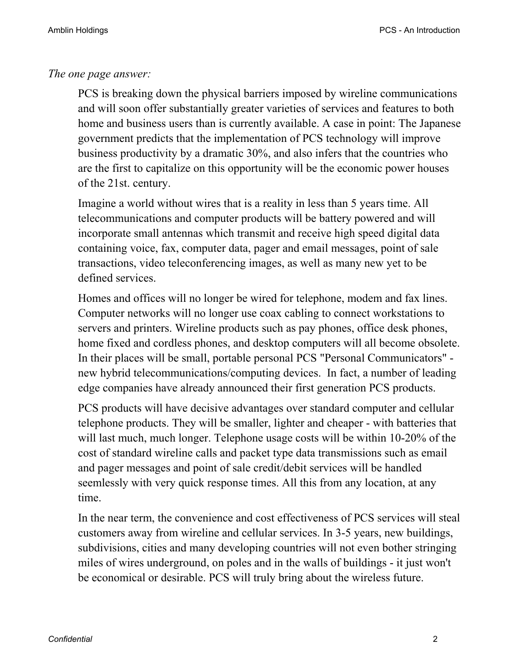## *The one page answer:*

PCS is breaking down the physical barriers imposed by wireline communications and will soon offer substantially greater varieties of services and features to both home and business users than is currently available. A case in point: The Japanese government predicts that the implementation of PCS technology will improve business productivity by a dramatic 30%, and also infers that the countries who are the first to capitalize on this opportunity will be the economic power houses of the 21st. century.

Imagine a world without wires that is a reality in less than 5 years time. All telecommunications and computer products will be battery powered and will incorporate small antennas which transmit and receive high speed digital data containing voice, fax, computer data, pager and email messages, point of sale transactions, video teleconferencing images, as well as many new yet to be defined services.

Homes and offices will no longer be wired for telephone, modem and fax lines. Computer networks will no longer use coax cabling to connect workstations to servers and printers. Wireline products such as pay phones, office desk phones, home fixed and cordless phones, and desktop computers will all become obsolete. In their places will be small, portable personal PCS "Personal Communicators" new hybrid telecommunications/computing devices. In fact, a number of leading edge companies have already announced their first generation PCS products.

PCS products will have decisive advantages over standard computer and cellular telephone products. They will be smaller, lighter and cheaper - with batteries that will last much, much longer. Telephone usage costs will be within 10-20% of the cost of standard wireline calls and packet type data transmissions such as email and pager messages and point of sale credit/debit services will be handled seemlessly with very quick response times. All this from any location, at any time.

In the near term, the convenience and cost effectiveness of PCS services will steal customers away from wireline and cellular services. In 3-5 years, new buildings, subdivisions, cities and many developing countries will not even bother stringing miles of wires underground, on poles and in the walls of buildings - it just won't be economical or desirable. PCS will truly bring about the wireless future.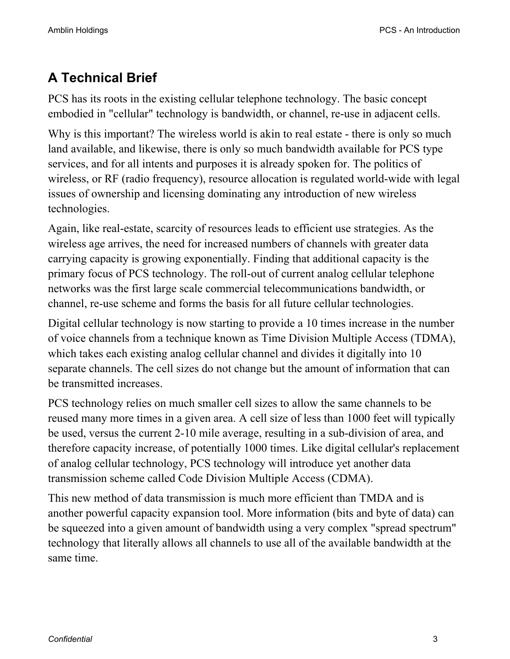# **A Technical Brief**

PCS has its roots in the existing cellular telephone technology. The basic concept embodied in "cellular" technology is bandwidth, or channel, re-use in adjacent cells.

Why is this important? The wireless world is akin to real estate - there is only so much land available, and likewise, there is only so much bandwidth available for PCS type services, and for all intents and purposes it is already spoken for. The politics of wireless, or RF (radio frequency), resource allocation is regulated world-wide with legal issues of ownership and licensing dominating any introduction of new wireless technologies.

Again, like real-estate, scarcity of resources leads to efficient use strategies. As the wireless age arrives, the need for increased numbers of channels with greater data carrying capacity is growing exponentially. Finding that additional capacity is the primary focus of PCS technology. The roll-out of current analog cellular telephone networks was the first large scale commercial telecommunications bandwidth, or channel, re-use scheme and forms the basis for all future cellular technologies.

Digital cellular technology is now starting to provide a 10 times increase in the number of voice channels from a technique known as Time Division Multiple Access (TDMA), which takes each existing analog cellular channel and divides it digitally into 10 separate channels. The cell sizes do not change but the amount of information that can be transmitted increases.

PCS technology relies on much smaller cell sizes to allow the same channels to be reused many more times in a given area. A cell size of less than 1000 feet will typically be used, versus the current 2-10 mile average, resulting in a sub-division of area, and therefore capacity increase, of potentially 1000 times. Like digital cellular's replacement of analog cellular technology, PCS technology will introduce yet another data transmission scheme called Code Division Multiple Access (CDMA).

This new method of data transmission is much more efficient than TMDA and is another powerful capacity expansion tool. More information (bits and byte of data) can be squeezed into a given amount of bandwidth using a very complex "spread spectrum" technology that literally allows all channels to use all of the available bandwidth at the same time.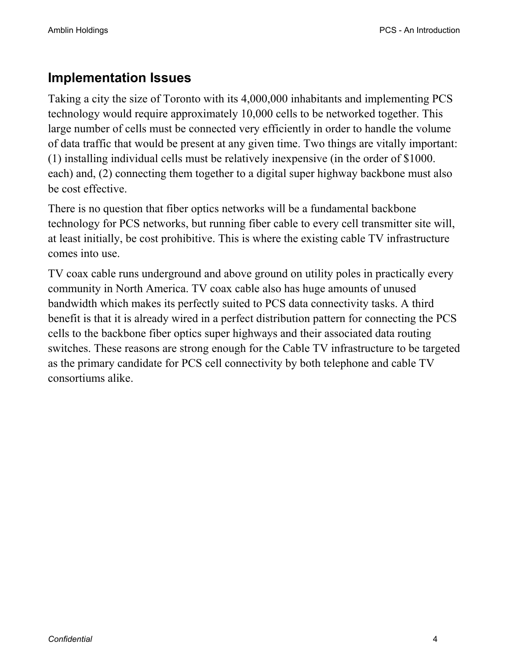## **Implementation Issues**

Taking a city the size of Toronto with its 4,000,000 inhabitants and implementing PCS technology would require approximately 10,000 cells to be networked together. This large number of cells must be connected very efficiently in order to handle the volume of data traffic that would be present at any given time. Two things are vitally important: (1) installing individual cells must be relatively inexpensive (in the order of \$1000. each) and, (2) connecting them together to a digital super highway backbone must also be cost effective.

There is no question that fiber optics networks will be a fundamental backbone technology for PCS networks, but running fiber cable to every cell transmitter site will, at least initially, be cost prohibitive. This is where the existing cable TV infrastructure comes into use.

TV coax cable runs underground and above ground on utility poles in practically every community in North America. TV coax cable also has huge amounts of unused bandwidth which makes its perfectly suited to PCS data connectivity tasks. A third benefit is that it is already wired in a perfect distribution pattern for connecting the PCS cells to the backbone fiber optics super highways and their associated data routing switches. These reasons are strong enough for the Cable TV infrastructure to be targeted as the primary candidate for PCS cell connectivity by both telephone and cable TV consortiums alike.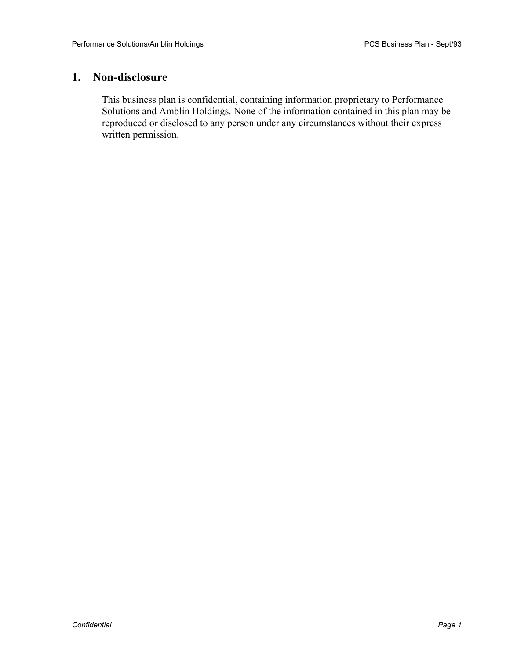#### **1. Non-disclosure**

This business plan is confidential, containing information proprietary to Performance Solutions and Amblin Holdings. None of the information contained in this plan may be reproduced or disclosed to any person under any circumstances without their express written permission.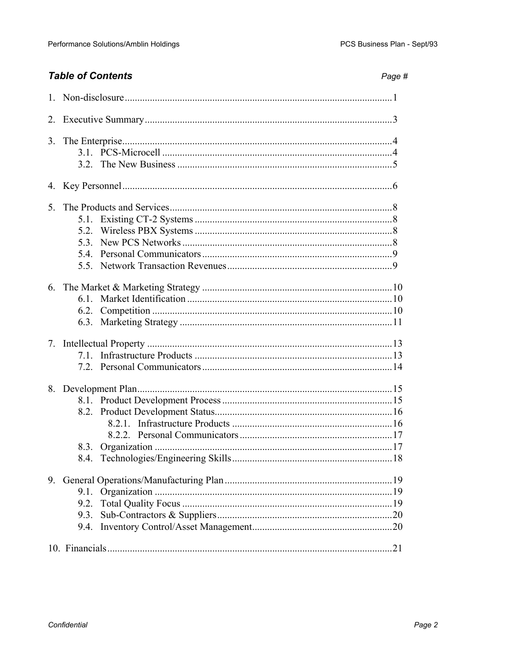## **Table of Contents**

| ane |  |
|-----|--|
|-----|--|

| 4.             |                      |  |  |  |  |
|----------------|----------------------|--|--|--|--|
| 5 <sub>1</sub> | 53                   |  |  |  |  |
|                | 6.2.                 |  |  |  |  |
| 7.             |                      |  |  |  |  |
|                | 8.3.                 |  |  |  |  |
| 9.             | 9.1.<br>9.3.<br>9.4. |  |  |  |  |
|                |                      |  |  |  |  |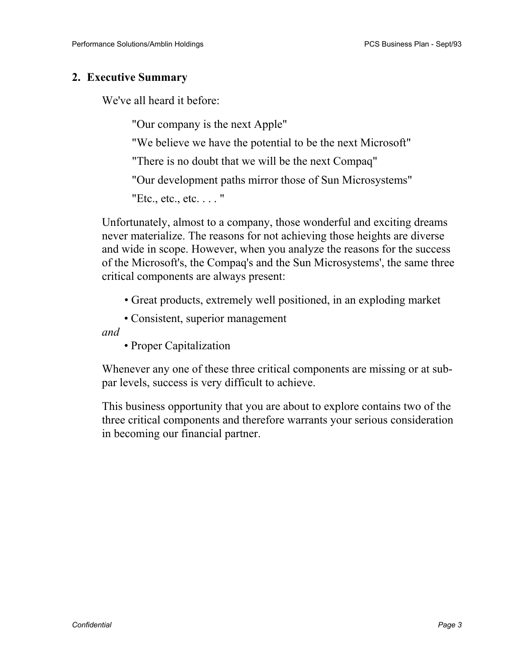## **2. Executive Summary**

We've all heard it before:

"Our company is the next Apple"

"We believe we have the potential to be the next Microsoft"

"There is no doubt that we will be the next Compaq"

"Our development paths mirror those of Sun Microsystems"

"Etc., etc., etc. . . . "

Unfortunately, almost to a company, those wonderful and exciting dreams never materialize. The reasons for not achieving those heights are diverse and wide in scope. However, when you analyze the reasons for the success of the Microsoft's, the Compaq's and the Sun Microsystems', the same three critical components are always present:

• Great products, extremely well positioned, in an exploding market

• Consistent, superior management

*and* 

• Proper Capitalization

Whenever any one of these three critical components are missing or at subpar levels, success is very difficult to achieve.

This business opportunity that you are about to explore contains two of the three critical components and therefore warrants your serious consideration in becoming our financial partner.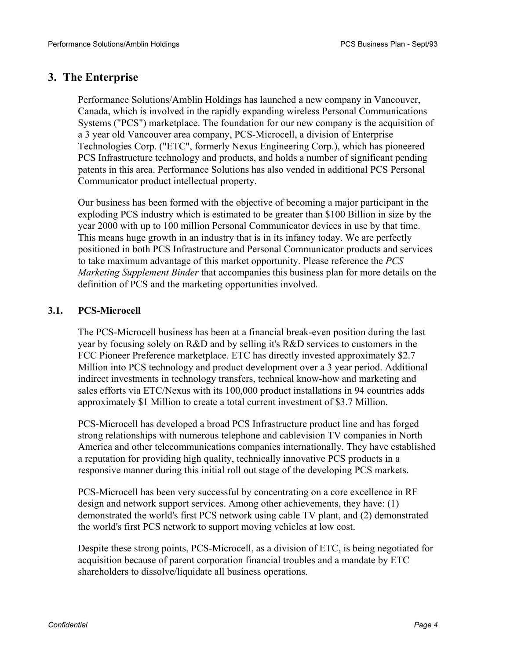#### **3. The Enterprise**

Performance Solutions/Amblin Holdings has launched a new company in Vancouver, Canada, which is involved in the rapidly expanding wireless Personal Communications Systems ("PCS") marketplace. The foundation for our new company is the acquisition of a 3 year old Vancouver area company, PCS-Microcell, a division of Enterprise Technologies Corp. ("ETC", formerly Nexus Engineering Corp.), which has pioneered PCS Infrastructure technology and products, and holds a number of significant pending patents in this area. Performance Solutions has also vended in additional PCS Personal Communicator product intellectual property.

Our business has been formed with the objective of becoming a major participant in the exploding PCS industry which is estimated to be greater than \$100 Billion in size by the year 2000 with up to 100 million Personal Communicator devices in use by that time. This means huge growth in an industry that is in its infancy today. We are perfectly positioned in both PCS Infrastructure and Personal Communicator products and services to take maximum advantage of this market opportunity. Please reference the *PCS Marketing Supplement Binder* that accompanies this business plan for more details on the definition of PCS and the marketing opportunities involved.

#### **3.1. PCS-Microcell**

The PCS-Microcell business has been at a financial break-even position during the last year by focusing solely on R&D and by selling it's R&D services to customers in the FCC Pioneer Preference marketplace. ETC has directly invested approximately \$2.7 Million into PCS technology and product development over a 3 year period. Additional indirect investments in technology transfers, technical know-how and marketing and sales efforts via ETC/Nexus with its 100,000 product installations in 94 countries adds approximately \$1 Million to create a total current investment of \$3.7 Million.

PCS-Microcell has developed a broad PCS Infrastructure product line and has forged strong relationships with numerous telephone and cablevision TV companies in North America and other telecommunications companies internationally. They have established a reputation for providing high quality, technically innovative PCS products in a responsive manner during this initial roll out stage of the developing PCS markets.

PCS-Microcell has been very successful by concentrating on a core excellence in RF design and network support services. Among other achievements, they have: (1) demonstrated the world's first PCS network using cable TV plant, and (2) demonstrated the world's first PCS network to support moving vehicles at low cost.

Despite these strong points, PCS-Microcell, as a division of ETC, is being negotiated for acquisition because of parent corporation financial troubles and a mandate by ETC shareholders to dissolve/liquidate all business operations.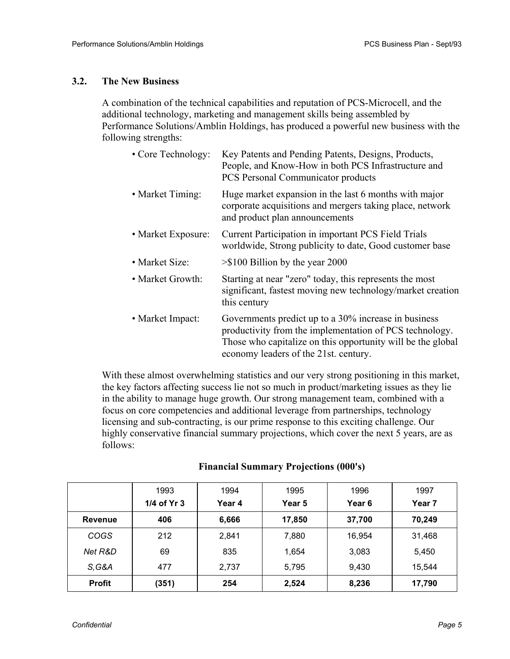#### **3.2. The New Business**

A combination of the technical capabilities and reputation of PCS-Microcell, and the additional technology, marketing and management skills being assembled by Performance Solutions/Amblin Holdings, has produced a powerful new business with the following strengths:

| • Core Technology: | Key Patents and Pending Patents, Designs, Products,<br>People, and Know-How in both PCS Infrastructure and<br><b>PCS</b> Personal Communicator products                                                                 |
|--------------------|-------------------------------------------------------------------------------------------------------------------------------------------------------------------------------------------------------------------------|
| • Market Timing:   | Huge market expansion in the last 6 months with major<br>corporate acquisitions and mergers taking place, network<br>and product plan announcements                                                                     |
| • Market Exposure: | <b>Current Participation in important PCS Field Trials</b><br>worldwide, Strong publicity to date, Good customer base                                                                                                   |
| • Market Size:     | $>$ \$100 Billion by the year 2000                                                                                                                                                                                      |
| • Market Growth:   | Starting at near "zero" today, this represents the most<br>significant, fastest moving new technology/market creation<br>this century                                                                                   |
| • Market Impact:   | Governments predict up to a 30% increase in business<br>productivity from the implementation of PCS technology.<br>Those who capitalize on this opportunity will be the global<br>economy leaders of the 21st. century. |

With these almost overwhelming statistics and our very strong positioning in this market, the key factors affecting success lie not so much in product/marketing issues as they lie in the ability to manage huge growth. Our strong management team, combined with a focus on core competencies and additional leverage from partnerships, technology licensing and sub-contracting, is our prime response to this exciting challenge. Our highly conservative financial summary projections, which cover the next 5 years, are as follows:

|                | 1993        | 1994   | 1995   | 1996   | 1997   |
|----------------|-------------|--------|--------|--------|--------|
|                | 1/4 of Yr 3 | Year 4 | Year 5 | Year 6 | Year 7 |
| <b>Revenue</b> | 406         | 6,666  | 17,850 | 37,700 | 70,249 |
| <b>COGS</b>    | 212         | 2,841  | 7,880  | 16,954 | 31,468 |
| Net R&D        | 69          | 835    | 1,654  | 3,083  | 5,450  |
| S, G&A         | 477         | 2,737  | 5,795  | 9,430  | 15,544 |
| <b>Profit</b>  | (351)       | 254    | 2,524  | 8,236  | 17,790 |

#### **Financial Summary Projections (000's)**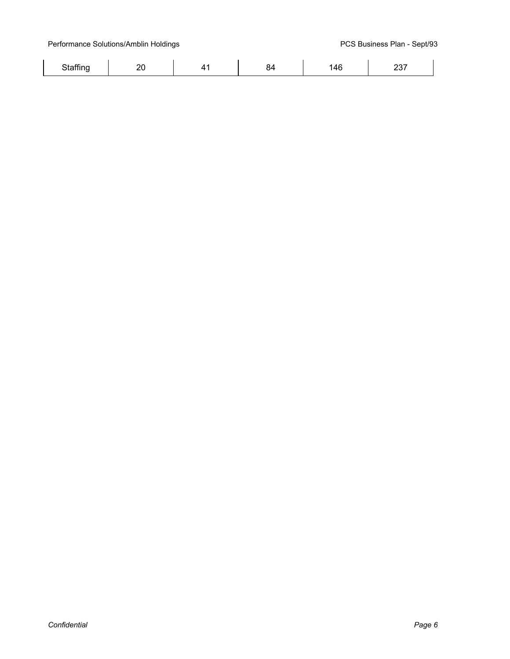Performance Solutions/Amblin Holdings **PERS** Business Plan - Sept/93

|  |  | . |  |
|--|--|---|--|
|  |  |   |  |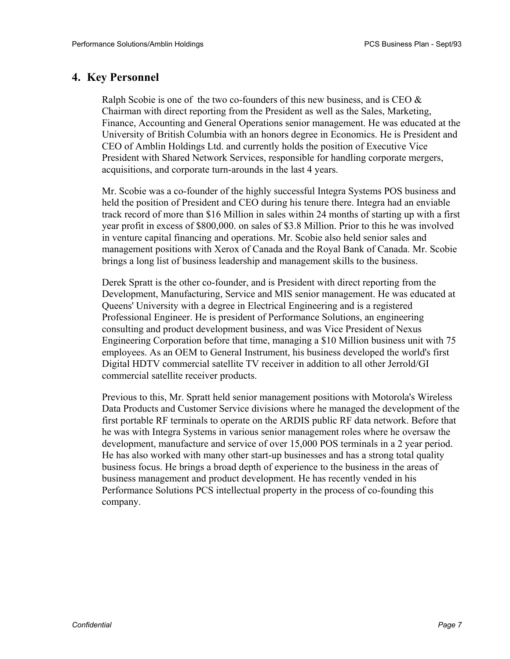### **4. Key Personnel**

Ralph Scobie is one of the two co-founders of this new business, and is CEO  $\&$ Chairman with direct reporting from the President as well as the Sales, Marketing, Finance, Accounting and General Operations senior management. He was educated at the University of British Columbia with an honors degree in Economics. He is President and CEO of Amblin Holdings Ltd. and currently holds the position of Executive Vice President with Shared Network Services, responsible for handling corporate mergers, acquisitions, and corporate turn-arounds in the last 4 years.

Mr. Scobie was a co-founder of the highly successful Integra Systems POS business and held the position of President and CEO during his tenure there. Integra had an enviable track record of more than \$16 Million in sales within 24 months of starting up with a first year profit in excess of \$800,000. on sales of \$3.8 Million. Prior to this he was involved in venture capital financing and operations. Mr. Scobie also held senior sales and management positions with Xerox of Canada and the Royal Bank of Canada. Mr. Scobie brings a long list of business leadership and management skills to the business.

Derek Spratt is the other co-founder, and is President with direct reporting from the Development, Manufacturing, Service and MIS senior management. He was educated at Queens' University with a degree in Electrical Engineering and is a registered Professional Engineer. He is president of Performance Solutions, an engineering consulting and product development business, and was Vice President of Nexus Engineering Corporation before that time, managing a \$10 Million business unit with 75 employees. As an OEM to General Instrument, his business developed the world's first Digital HDTV commercial satellite TV receiver in addition to all other Jerrold/GI commercial satellite receiver products.

Previous to this, Mr. Spratt held senior management positions with Motorola's Wireless Data Products and Customer Service divisions where he managed the development of the first portable RF terminals to operate on the ARDIS public RF data network. Before that he was with Integra Systems in various senior management roles where he oversaw the development, manufacture and service of over 15,000 POS terminals in a 2 year period. He has also worked with many other start-up businesses and has a strong total quality business focus. He brings a broad depth of experience to the business in the areas of business management and product development. He has recently vended in his Performance Solutions PCS intellectual property in the process of co-founding this company.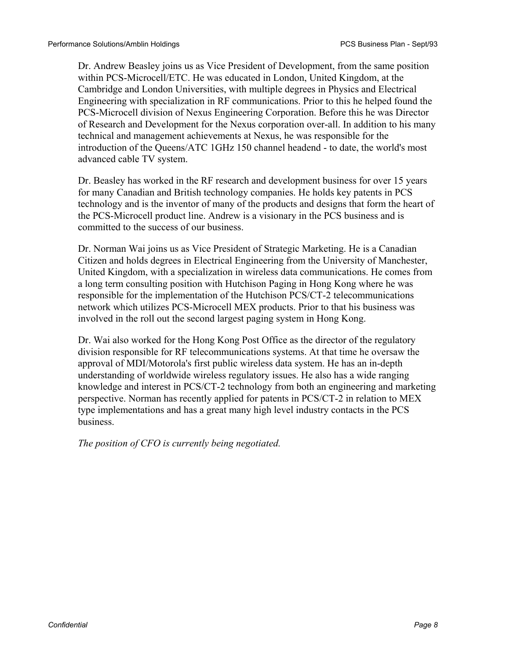Dr. Andrew Beasley joins us as Vice President of Development, from the same position within PCS-Microcell/ETC. He was educated in London, United Kingdom, at the Cambridge and London Universities, with multiple degrees in Physics and Electrical Engineering with specialization in RF communications. Prior to this he helped found the PCS-Microcell division of Nexus Engineering Corporation. Before this he was Director of Research and Development for the Nexus corporation over-all. In addition to his many technical and management achievements at Nexus, he was responsible for the introduction of the Queens/ATC 1GHz 150 channel headend - to date, the world's most advanced cable TV system.

Dr. Beasley has worked in the RF research and development business for over 15 years for many Canadian and British technology companies. He holds key patents in PCS technology and is the inventor of many of the products and designs that form the heart of the PCS-Microcell product line. Andrew is a visionary in the PCS business and is committed to the success of our business.

Dr. Norman Wai joins us as Vice President of Strategic Marketing. He is a Canadian Citizen and holds degrees in Electrical Engineering from the University of Manchester, United Kingdom, with a specialization in wireless data communications. He comes from a long term consulting position with Hutchison Paging in Hong Kong where he was responsible for the implementation of the Hutchison PCS/CT-2 telecommunications network which utilizes PCS-Microcell MEX products. Prior to that his business was involved in the roll out the second largest paging system in Hong Kong.

Dr. Wai also worked for the Hong Kong Post Office as the director of the regulatory division responsible for RF telecommunications systems. At that time he oversaw the approval of MDI/Motorola's first public wireless data system. He has an in-depth understanding of worldwide wireless regulatory issues. He also has a wide ranging knowledge and interest in PCS/CT-2 technology from both an engineering and marketing perspective. Norman has recently applied for patents in PCS/CT-2 in relation to MEX type implementations and has a great many high level industry contacts in the PCS business.

*The position of CFO is currently being negotiated.*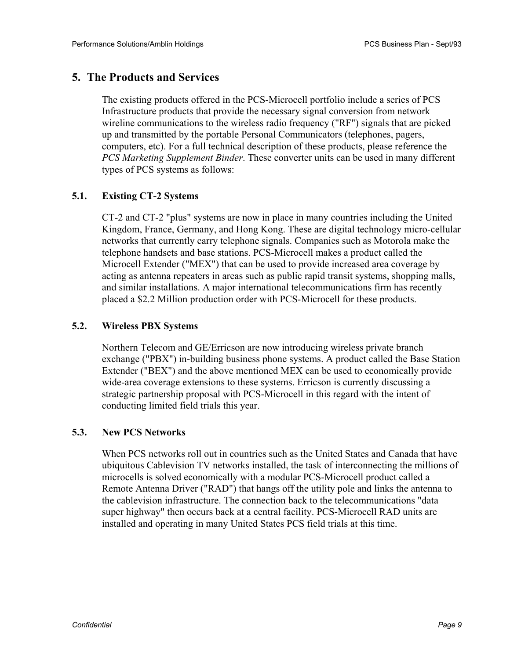## **5. The Products and Services**

The existing products offered in the PCS-Microcell portfolio include a series of PCS Infrastructure products that provide the necessary signal conversion from network wireline communications to the wireless radio frequency ("RF") signals that are picked up and transmitted by the portable Personal Communicators (telephones, pagers, computers, etc). For a full technical description of these products, please reference the *PCS Marketing Supplement Binder*. These converter units can be used in many different types of PCS systems as follows:

#### **5.1. Existing CT-2 Systems**

CT-2 and CT-2 "plus" systems are now in place in many countries including the United Kingdom, France, Germany, and Hong Kong. These are digital technology micro-cellular networks that currently carry telephone signals. Companies such as Motorola make the telephone handsets and base stations. PCS-Microcell makes a product called the Microcell Extender ("MEX") that can be used to provide increased area coverage by acting as antenna repeaters in areas such as public rapid transit systems, shopping malls, and similar installations. A major international telecommunications firm has recently placed a \$2.2 Million production order with PCS-Microcell for these products.

#### **5.2. Wireless PBX Systems**

Northern Telecom and GE/Erricson are now introducing wireless private branch exchange ("PBX") in-building business phone systems. A product called the Base Station Extender ("BEX") and the above mentioned MEX can be used to economically provide wide-area coverage extensions to these systems. Erricson is currently discussing a strategic partnership proposal with PCS-Microcell in this regard with the intent of conducting limited field trials this year.

#### **5.3. New PCS Networks**

When PCS networks roll out in countries such as the United States and Canada that have ubiquitous Cablevision TV networks installed, the task of interconnecting the millions of microcells is solved economically with a modular PCS-Microcell product called a Remote Antenna Driver ("RAD") that hangs off the utility pole and links the antenna to the cablevision infrastructure. The connection back to the telecommunications "data super highway" then occurs back at a central facility. PCS-Microcell RAD units are installed and operating in many United States PCS field trials at this time.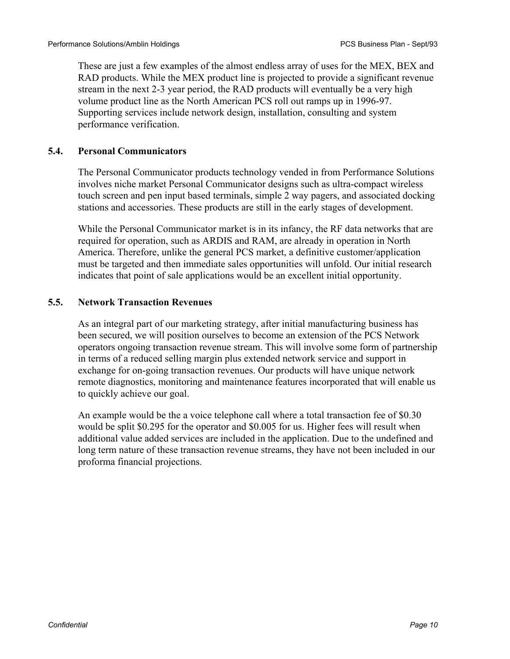These are just a few examples of the almost endless array of uses for the MEX, BEX and RAD products. While the MEX product line is projected to provide a significant revenue stream in the next 2-3 year period, the RAD products will eventually be a very high volume product line as the North American PCS roll out ramps up in 1996-97. Supporting services include network design, installation, consulting and system performance verification.

#### **5.4. Personal Communicators**

The Personal Communicator products technology vended in from Performance Solutions involves niche market Personal Communicator designs such as ultra-compact wireless touch screen and pen input based terminals, simple 2 way pagers, and associated docking stations and accessories. These products are still in the early stages of development.

While the Personal Communicator market is in its infancy, the RF data networks that are required for operation, such as ARDIS and RAM, are already in operation in North America. Therefore, unlike the general PCS market, a definitive customer/application must be targeted and then immediate sales opportunities will unfold. Our initial research indicates that point of sale applications would be an excellent initial opportunity.

#### **5.5. Network Transaction Revenues**

As an integral part of our marketing strategy, after initial manufacturing business has been secured, we will position ourselves to become an extension of the PCS Network operators ongoing transaction revenue stream. This will involve some form of partnership in terms of a reduced selling margin plus extended network service and support in exchange for on-going transaction revenues. Our products will have unique network remote diagnostics, monitoring and maintenance features incorporated that will enable us to quickly achieve our goal.

An example would be the a voice telephone call where a total transaction fee of \$0.30 would be split \$0.295 for the operator and \$0.005 for us. Higher fees will result when additional value added services are included in the application. Due to the undefined and long term nature of these transaction revenue streams, they have not been included in our proforma financial projections.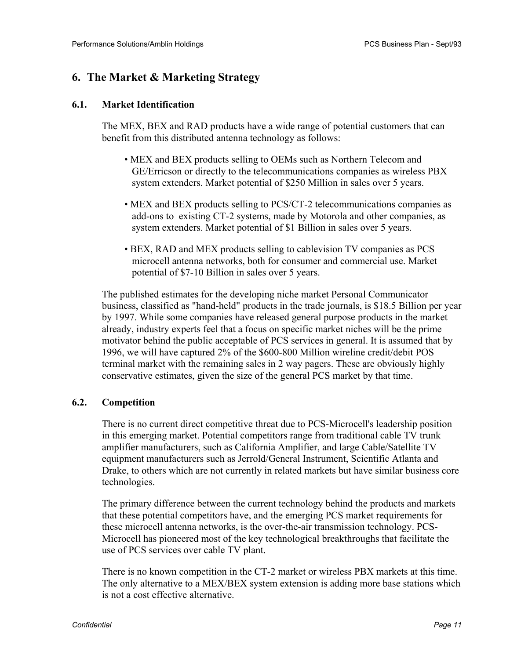## **6. The Market & Marketing Strategy**

#### **6.1. Market Identification**

The MEX, BEX and RAD products have a wide range of potential customers that can benefit from this distributed antenna technology as follows:

- MEX and BEX products selling to OEMs such as Northern Telecom and GE/Erricson or directly to the telecommunications companies as wireless PBX system extenders. Market potential of \$250 Million in sales over 5 years.
- MEX and BEX products selling to PCS/CT-2 telecommunications companies as add-ons to existing CT-2 systems, made by Motorola and other companies, as system extenders. Market potential of \$1 Billion in sales over 5 years.
- BEX, RAD and MEX products selling to cablevision TV companies as PCS microcell antenna networks, both for consumer and commercial use. Market potential of \$7-10 Billion in sales over 5 years.

The published estimates for the developing niche market Personal Communicator business, classified as "hand-held" products in the trade journals, is \$18.5 Billion per year by 1997. While some companies have released general purpose products in the market already, industry experts feel that a focus on specific market niches will be the prime motivator behind the public acceptable of PCS services in general. It is assumed that by 1996, we will have captured 2% of the \$600-800 Million wireline credit/debit POS terminal market with the remaining sales in 2 way pagers. These are obviously highly conservative estimates, given the size of the general PCS market by that time.

#### **6.2. Competition**

There is no current direct competitive threat due to PCS-Microcell's leadership position in this emerging market. Potential competitors range from traditional cable TV trunk amplifier manufacturers, such as California Amplifier, and large Cable/Satellite TV equipment manufacturers such as Jerrold/General Instrument, Scientific Atlanta and Drake, to others which are not currently in related markets but have similar business core technologies.

The primary difference between the current technology behind the products and markets that these potential competitors have, and the emerging PCS market requirements for these microcell antenna networks, is the over-the-air transmission technology. PCS-Microcell has pioneered most of the key technological breakthroughs that facilitate the use of PCS services over cable TV plant.

There is no known competition in the CT-2 market or wireless PBX markets at this time. The only alternative to a MEX/BEX system extension is adding more base stations which is not a cost effective alternative.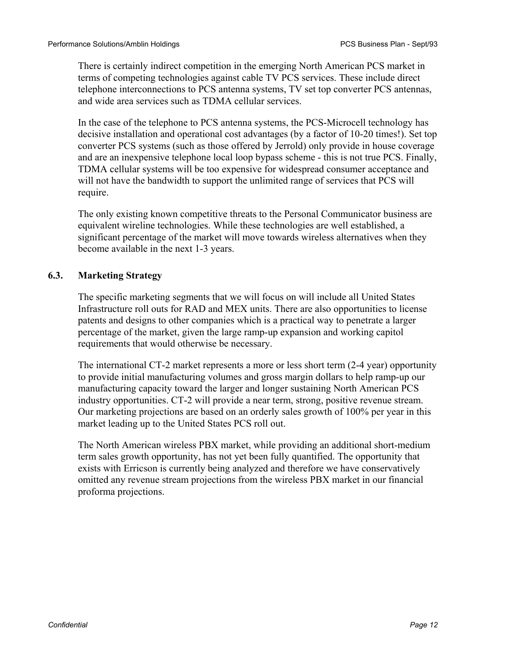There is certainly indirect competition in the emerging North American PCS market in terms of competing technologies against cable TV PCS services. These include direct telephone interconnections to PCS antenna systems, TV set top converter PCS antennas, and wide area services such as TDMA cellular services.

In the case of the telephone to PCS antenna systems, the PCS-Microcell technology has decisive installation and operational cost advantages (by a factor of 10-20 times!). Set top converter PCS systems (such as those offered by Jerrold) only provide in house coverage and are an inexpensive telephone local loop bypass scheme - this is not true PCS. Finally, TDMA cellular systems will be too expensive for widespread consumer acceptance and will not have the bandwidth to support the unlimited range of services that PCS will require.

The only existing known competitive threats to the Personal Communicator business are equivalent wireline technologies. While these technologies are well established, a significant percentage of the market will move towards wireless alternatives when they become available in the next 1-3 years.

#### **6.3. Marketing Strategy**

The specific marketing segments that we will focus on will include all United States Infrastructure roll outs for RAD and MEX units. There are also opportunities to license patents and designs to other companies which is a practical way to penetrate a larger percentage of the market, given the large ramp-up expansion and working capitol requirements that would otherwise be necessary.

The international CT-2 market represents a more or less short term (2-4 year) opportunity to provide initial manufacturing volumes and gross margin dollars to help ramp-up our manufacturing capacity toward the larger and longer sustaining North American PCS industry opportunities. CT-2 will provide a near term, strong, positive revenue stream. Our marketing projections are based on an orderly sales growth of 100% per year in this market leading up to the United States PCS roll out.

The North American wireless PBX market, while providing an additional short-medium term sales growth opportunity, has not yet been fully quantified. The opportunity that exists with Erricson is currently being analyzed and therefore we have conservatively omitted any revenue stream projections from the wireless PBX market in our financial proforma projections.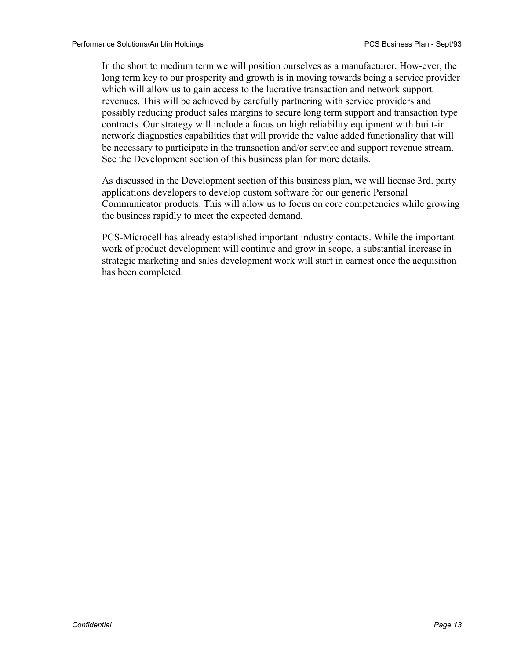In the short to medium term we will position ourselves as a manufacturer. How-ever, the long term key to our prosperity and growth is in moving towards being a service provider which will allow us to gain access to the lucrative transaction and network support revenues. This will be achieved by carefully partnering with service providers and possibly reducing product sales margins to secure long term support and transaction type contracts. Our strategy will include a focus on high reliability equipment with built-in network diagnostics capabilities that will provide the value added functionality that will be necessary to participate in the transaction and/or service and support revenue stream. See the Development section of this business plan for more details.

As discussed in the Development section of this business plan, we will license 3rd. party applications developers to develop custom software for our generic Personal Communicator products. This will allow us to focus on core competencies while growing the business rapidly to meet the expected demand.

PCS-Microcell has already established important industry contacts. While the important work of product development will continue and grow in scope, a substantial increase in strategic marketing and sales development work will start in earnest once the acquisition has been completed.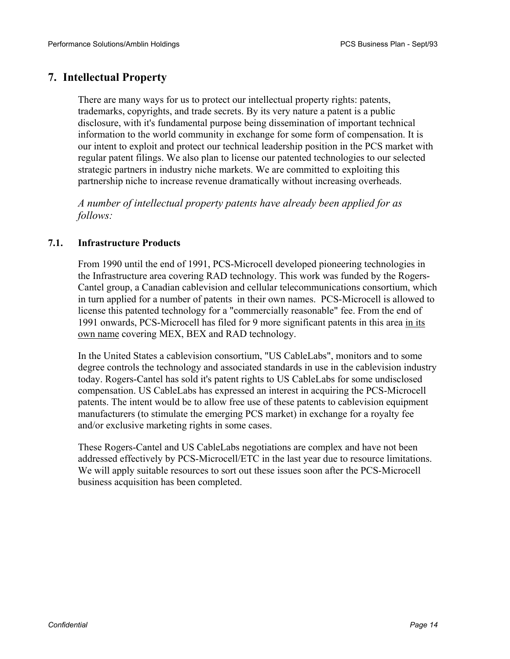## **7. Intellectual Property**

There are many ways for us to protect our intellectual property rights: patents, trademarks, copyrights, and trade secrets. By its very nature a patent is a public disclosure, with it's fundamental purpose being dissemination of important technical information to the world community in exchange for some form of compensation. It is our intent to exploit and protect our technical leadership position in the PCS market with regular patent filings. We also plan to license our patented technologies to our selected strategic partners in industry niche markets. We are committed to exploiting this partnership niche to increase revenue dramatically without increasing overheads.

*A number of intellectual property patents have already been applied for as follows:* 

#### **7.1. Infrastructure Products**

From 1990 until the end of 1991, PCS-Microcell developed pioneering technologies in the Infrastructure area covering RAD technology. This work was funded by the Rogers-Cantel group, a Canadian cablevision and cellular telecommunications consortium, which in turn applied for a number of patents in their own names. PCS-Microcell is allowed to license this patented technology for a "commercially reasonable" fee. From the end of 1991 onwards, PCS-Microcell has filed for 9 more significant patents in this area in its own name covering MEX, BEX and RAD technology.

In the United States a cablevision consortium, "US CableLabs", monitors and to some degree controls the technology and associated standards in use in the cablevision industry today. Rogers-Cantel has sold it's patent rights to US CableLabs for some undisclosed compensation. US CableLabs has expressed an interest in acquiring the PCS-Microcell patents. The intent would be to allow free use of these patents to cablevision equipment manufacturers (to stimulate the emerging PCS market) in exchange for a royalty fee and/or exclusive marketing rights in some cases.

These Rogers-Cantel and US CableLabs negotiations are complex and have not been addressed effectively by PCS-Microcell/ETC in the last year due to resource limitations. We will apply suitable resources to sort out these issues soon after the PCS-Microcell business acquisition has been completed.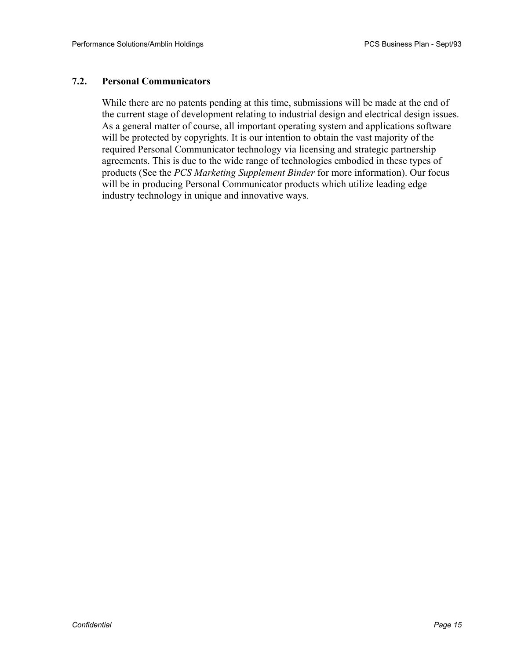#### **7.2. Personal Communicators**

While there are no patents pending at this time, submissions will be made at the end of the current stage of development relating to industrial design and electrical design issues. As a general matter of course, all important operating system and applications software will be protected by copyrights. It is our intention to obtain the vast majority of the required Personal Communicator technology via licensing and strategic partnership agreements. This is due to the wide range of technologies embodied in these types of products (See the *PCS Marketing Supplement Binder* for more information). Our focus will be in producing Personal Communicator products which utilize leading edge industry technology in unique and innovative ways.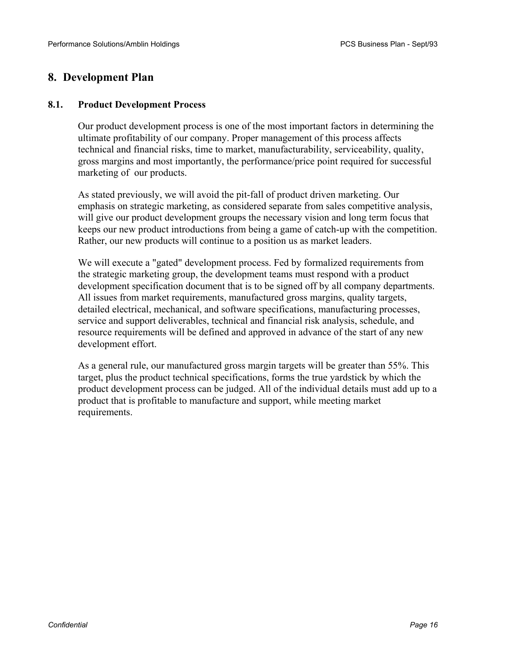## **8. Development Plan**

#### **8.1. Product Development Process**

Our product development process is one of the most important factors in determining the ultimate profitability of our company. Proper management of this process affects technical and financial risks, time to market, manufacturability, serviceability, quality, gross margins and most importantly, the performance/price point required for successful marketing of our products.

As stated previously, we will avoid the pit-fall of product driven marketing. Our emphasis on strategic marketing, as considered separate from sales competitive analysis, will give our product development groups the necessary vision and long term focus that keeps our new product introductions from being a game of catch-up with the competition. Rather, our new products will continue to a position us as market leaders.

We will execute a "gated" development process. Fed by formalized requirements from the strategic marketing group, the development teams must respond with a product development specification document that is to be signed off by all company departments. All issues from market requirements, manufactured gross margins, quality targets, detailed electrical, mechanical, and software specifications, manufacturing processes, service and support deliverables, technical and financial risk analysis, schedule, and resource requirements will be defined and approved in advance of the start of any new development effort.

As a general rule, our manufactured gross margin targets will be greater than 55%. This target, plus the product technical specifications, forms the true yardstick by which the product development process can be judged. All of the individual details must add up to a product that is profitable to manufacture and support, while meeting market requirements.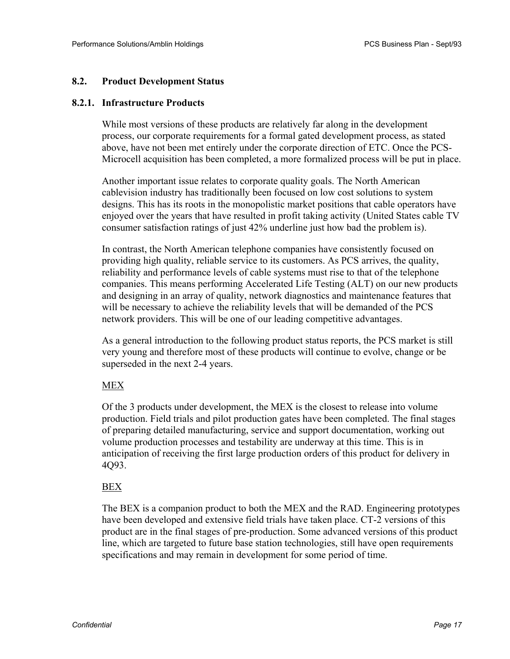#### **8.2. Product Development Status**

#### **8.2.1. Infrastructure Products**

While most versions of these products are relatively far along in the development process, our corporate requirements for a formal gated development process, as stated above, have not been met entirely under the corporate direction of ETC. Once the PCS-Microcell acquisition has been completed, a more formalized process will be put in place.

Another important issue relates to corporate quality goals. The North American cablevision industry has traditionally been focused on low cost solutions to system designs. This has its roots in the monopolistic market positions that cable operators have enjoyed over the years that have resulted in profit taking activity (United States cable TV consumer satisfaction ratings of just 42% underline just how bad the problem is).

In contrast, the North American telephone companies have consistently focused on providing high quality, reliable service to its customers. As PCS arrives, the quality, reliability and performance levels of cable systems must rise to that of the telephone companies. This means performing Accelerated Life Testing (ALT) on our new products and designing in an array of quality, network diagnostics and maintenance features that will be necessary to achieve the reliability levels that will be demanded of the PCS network providers. This will be one of our leading competitive advantages.

As a general introduction to the following product status reports, the PCS market is still very young and therefore most of these products will continue to evolve, change or be superseded in the next 2-4 years.

#### MEX

Of the 3 products under development, the MEX is the closest to release into volume production. Field trials and pilot production gates have been completed. The final stages of preparing detailed manufacturing, service and support documentation, working out volume production processes and testability are underway at this time. This is in anticipation of receiving the first large production orders of this product for delivery in 4Q93.

#### BEX

The BEX is a companion product to both the MEX and the RAD. Engineering prototypes have been developed and extensive field trials have taken place. CT-2 versions of this product are in the final stages of pre-production. Some advanced versions of this product line, which are targeted to future base station technologies, still have open requirements specifications and may remain in development for some period of time.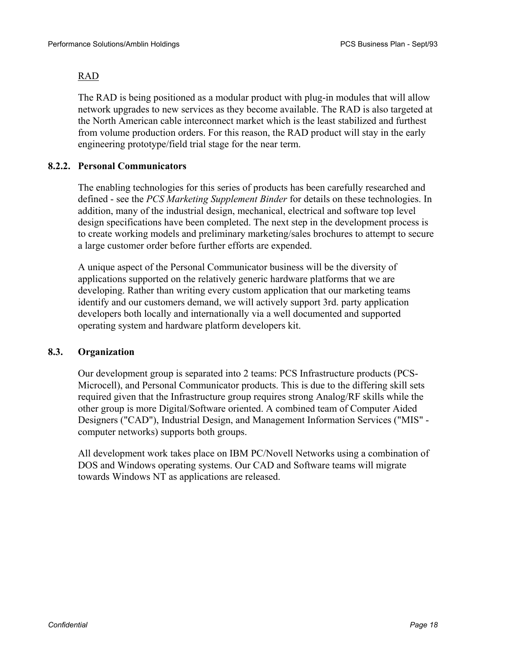#### RAD

The RAD is being positioned as a modular product with plug-in modules that will allow network upgrades to new services as they become available. The RAD is also targeted at the North American cable interconnect market which is the least stabilized and furthest from volume production orders. For this reason, the RAD product will stay in the early engineering prototype/field trial stage for the near term.

#### **8.2.2. Personal Communicators**

The enabling technologies for this series of products has been carefully researched and defined - see the *PCS Marketing Supplement Binder* for details on these technologies. In addition, many of the industrial design, mechanical, electrical and software top level design specifications have been completed. The next step in the development process is to create working models and preliminary marketing/sales brochures to attempt to secure a large customer order before further efforts are expended.

A unique aspect of the Personal Communicator business will be the diversity of applications supported on the relatively generic hardware platforms that we are developing. Rather than writing every custom application that our marketing teams identify and our customers demand, we will actively support 3rd. party application developers both locally and internationally via a well documented and supported operating system and hardware platform developers kit.

#### **8.3. Organization**

Our development group is separated into 2 teams: PCS Infrastructure products (PCS-Microcell), and Personal Communicator products. This is due to the differing skill sets required given that the Infrastructure group requires strong Analog/RF skills while the other group is more Digital/Software oriented. A combined team of Computer Aided Designers ("CAD"), Industrial Design, and Management Information Services ("MIS" computer networks) supports both groups.

All development work takes place on IBM PC/Novell Networks using a combination of DOS and Windows operating systems. Our CAD and Software teams will migrate towards Windows NT as applications are released.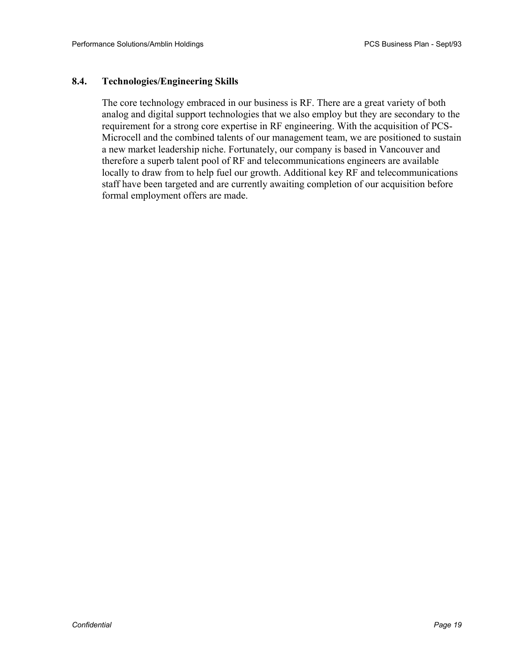#### **8.4. Technologies/Engineering Skills**

The core technology embraced in our business is RF. There are a great variety of both analog and digital support technologies that we also employ but they are secondary to the requirement for a strong core expertise in RF engineering. With the acquisition of PCS-Microcell and the combined talents of our management team, we are positioned to sustain a new market leadership niche. Fortunately, our company is based in Vancouver and therefore a superb talent pool of RF and telecommunications engineers are available locally to draw from to help fuel our growth. Additional key RF and telecommunications staff have been targeted and are currently awaiting completion of our acquisition before formal employment offers are made.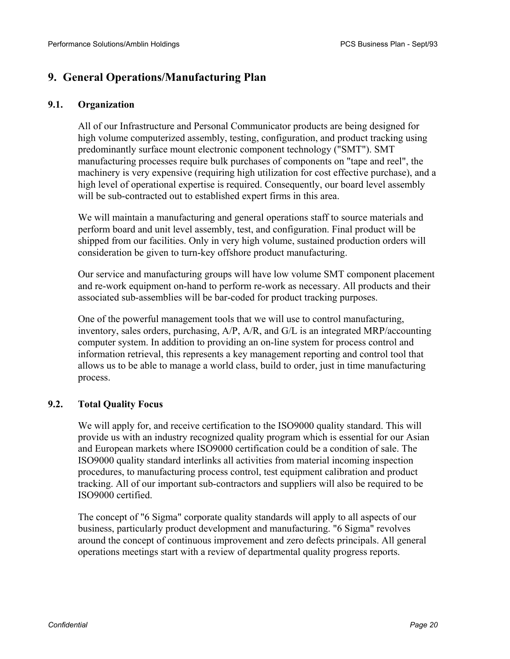## **9. General Operations/Manufacturing Plan**

#### **9.1. Organization**

All of our Infrastructure and Personal Communicator products are being designed for high volume computerized assembly, testing, configuration, and product tracking using predominantly surface mount electronic component technology ("SMT"). SMT manufacturing processes require bulk purchases of components on "tape and reel", the machinery is very expensive (requiring high utilization for cost effective purchase), and a high level of operational expertise is required. Consequently, our board level assembly will be sub-contracted out to established expert firms in this area.

We will maintain a manufacturing and general operations staff to source materials and perform board and unit level assembly, test, and configuration. Final product will be shipped from our facilities. Only in very high volume, sustained production orders will consideration be given to turn-key offshore product manufacturing.

Our service and manufacturing groups will have low volume SMT component placement and re-work equipment on-hand to perform re-work as necessary. All products and their associated sub-assemblies will be bar-coded for product tracking purposes.

One of the powerful management tools that we will use to control manufacturing, inventory, sales orders, purchasing, A/P, A/R, and G/L is an integrated MRP/accounting computer system. In addition to providing an on-line system for process control and information retrieval, this represents a key management reporting and control tool that allows us to be able to manage a world class, build to order, just in time manufacturing process.

#### **9.2. Total Quality Focus**

We will apply for, and receive certification to the ISO9000 quality standard. This will provide us with an industry recognized quality program which is essential for our Asian and European markets where ISO9000 certification could be a condition of sale. The ISO9000 quality standard interlinks all activities from material incoming inspection procedures, to manufacturing process control, test equipment calibration and product tracking. All of our important sub-contractors and suppliers will also be required to be ISO9000 certified.

The concept of "6 Sigma" corporate quality standards will apply to all aspects of our business, particularly product development and manufacturing. "6 Sigma" revolves around the concept of continuous improvement and zero defects principals. All general operations meetings start with a review of departmental quality progress reports.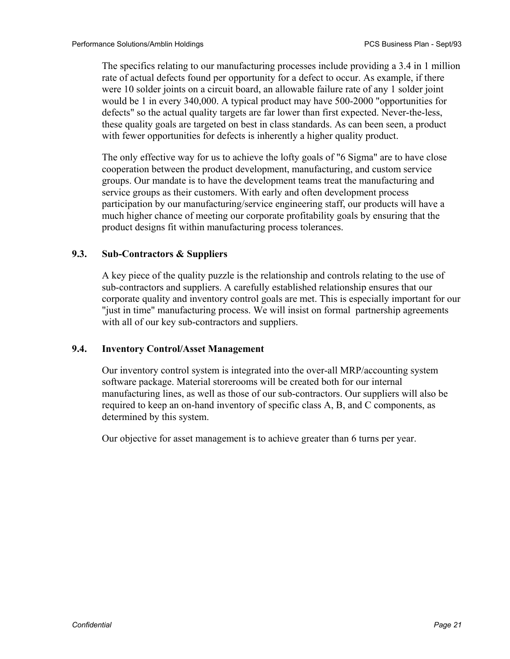The specifics relating to our manufacturing processes include providing a 3.4 in 1 million rate of actual defects found per opportunity for a defect to occur. As example, if there were 10 solder joints on a circuit board, an allowable failure rate of any 1 solder joint would be 1 in every 340,000. A typical product may have 500-2000 "opportunities for defects" so the actual quality targets are far lower than first expected. Never-the-less, these quality goals are targeted on best in class standards. As can been seen, a product with fewer opportunities for defects is inherently a higher quality product.

The only effective way for us to achieve the lofty goals of "6 Sigma" are to have close cooperation between the product development, manufacturing, and custom service groups. Our mandate is to have the development teams treat the manufacturing and service groups as their customers. With early and often development process participation by our manufacturing/service engineering staff, our products will have a much higher chance of meeting our corporate profitability goals by ensuring that the product designs fit within manufacturing process tolerances.

#### **9.3. Sub-Contractors & Suppliers**

A key piece of the quality puzzle is the relationship and controls relating to the use of sub-contractors and suppliers. A carefully established relationship ensures that our corporate quality and inventory control goals are met. This is especially important for our "just in time" manufacturing process. We will insist on formal partnership agreements with all of our key sub-contractors and suppliers.

#### **9.4. Inventory Control/Asset Management**

Our inventory control system is integrated into the over-all MRP/accounting system software package. Material storerooms will be created both for our internal manufacturing lines, as well as those of our sub-contractors. Our suppliers will also be required to keep an on-hand inventory of specific class A, B, and C components, as determined by this system.

Our objective for asset management is to achieve greater than 6 turns per year.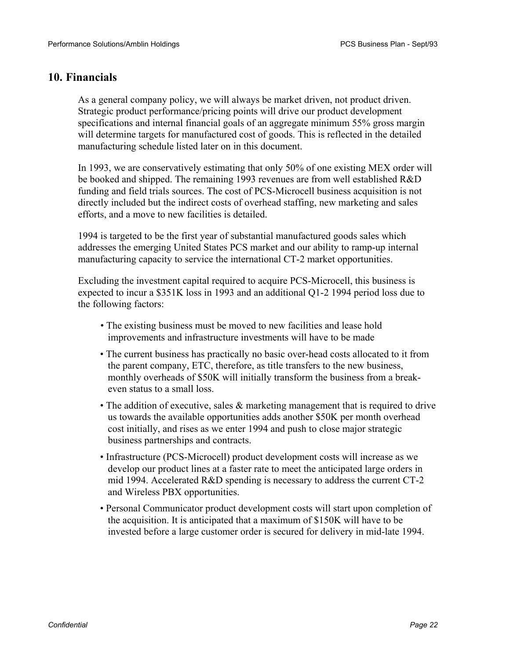#### **10. Financials**

As a general company policy, we will always be market driven, not product driven. Strategic product performance/pricing points will drive our product development specifications and internal financial goals of an aggregate minimum 55% gross margin will determine targets for manufactured cost of goods. This is reflected in the detailed manufacturing schedule listed later on in this document.

In 1993, we are conservatively estimating that only 50% of one existing MEX order will be booked and shipped. The remaining 1993 revenues are from well established R&D funding and field trials sources. The cost of PCS-Microcell business acquisition is not directly included but the indirect costs of overhead staffing, new marketing and sales efforts, and a move to new facilities is detailed.

1994 is targeted to be the first year of substantial manufactured goods sales which addresses the emerging United States PCS market and our ability to ramp-up internal manufacturing capacity to service the international CT-2 market opportunities.

Excluding the investment capital required to acquire PCS-Microcell, this business is expected to incur a \$351K loss in 1993 and an additional Q1-2 1994 period loss due to the following factors:

- The existing business must be moved to new facilities and lease hold improvements and infrastructure investments will have to be made
- The current business has practically no basic over-head costs allocated to it from the parent company, ETC, therefore, as title transfers to the new business, monthly overheads of \$50K will initially transform the business from a breakeven status to a small loss.
- The addition of executive, sales & marketing management that is required to drive us towards the available opportunities adds another \$50K per month overhead cost initially, and rises as we enter 1994 and push to close major strategic business partnerships and contracts.
- Infrastructure (PCS-Microcell) product development costs will increase as we develop our product lines at a faster rate to meet the anticipated large orders in mid 1994. Accelerated R&D spending is necessary to address the current CT-2 and Wireless PBX opportunities.
- Personal Communicator product development costs will start upon completion of the acquisition. It is anticipated that a maximum of \$150K will have to be invested before a large customer order is secured for delivery in mid-late 1994.